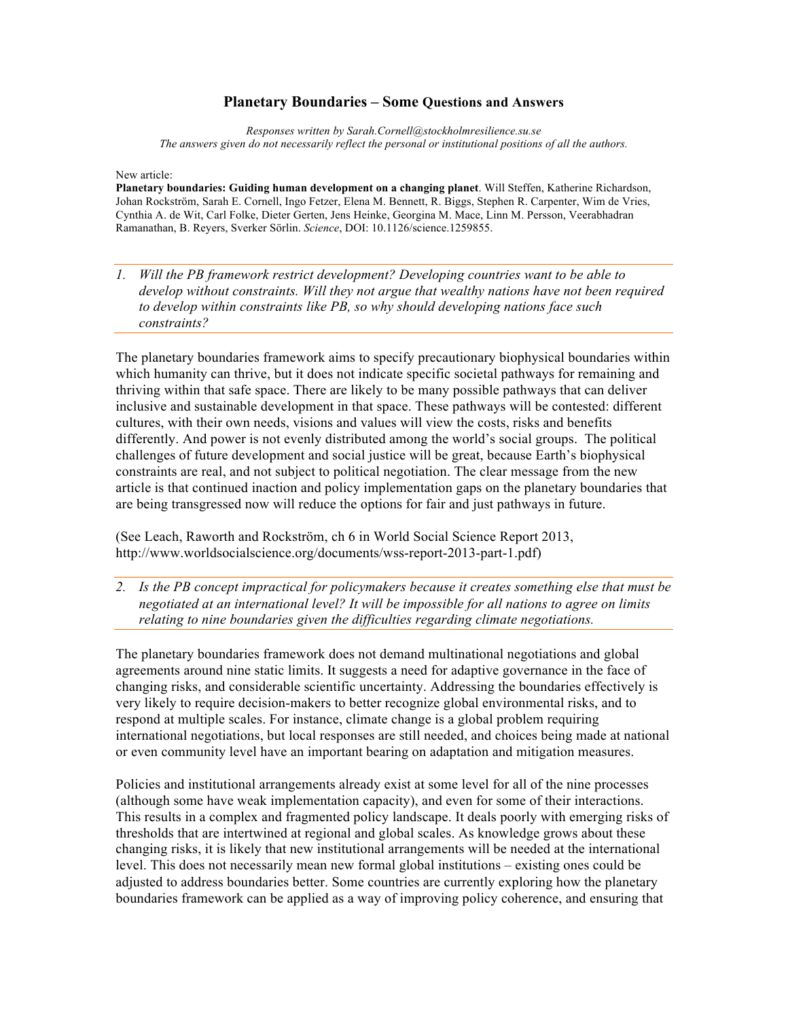## **Planetary Boundaries – Some Questions and Answers**

*Responses written by Sarah.Cornell@stockholmresilience.su.se The answers given do not necessarily reflect the personal or institutional positions of all the authors.*

New article:

**Planetary boundaries: Guiding human development on a changing planet**. Will Steffen, Katherine Richardson, Johan Rockström, Sarah E. Cornell, Ingo Fetzer, Elena M. Bennett, R. Biggs, Stephen R. Carpenter, Wim de Vries, Cynthia A. de Wit, Carl Folke, Dieter Gerten, Jens Heinke, Georgina M. Mace, Linn M. Persson, Veerabhadran Ramanathan, B. Reyers, Sverker Sörlin. *Science*, DOI: 10.1126/science.1259855.

*1. Will the PB framework restrict development? Developing countries want to be able to develop without constraints. Will they not argue that wealthy nations have not been required to develop within constraints like PB, so why should developing nations face such constraints?*

The planetary boundaries framework aims to specify precautionary biophysical boundaries within which humanity can thrive, but it does not indicate specific societal pathways for remaining and thriving within that safe space. There are likely to be many possible pathways that can deliver inclusive and sustainable development in that space. These pathways will be contested: different cultures, with their own needs, visions and values will view the costs, risks and benefits differently. And power is not evenly distributed among the world's social groups. The political challenges of future development and social justice will be great, because Earth's biophysical constraints are real, and not subject to political negotiation. The clear message from the new article is that continued inaction and policy implementation gaps on the planetary boundaries that are being transgressed now will reduce the options for fair and just pathways in future.

(See Leach, Raworth and Rockström, ch 6 in World Social Science Report 2013, http://www.worldsocialscience.org/documents/wss-report-2013-part-1.pdf)

*2. Is the PB concept impractical for policymakers because it creates something else that must be negotiated at an international level? It will be impossible for all nations to agree on limits relating to nine boundaries given the difficulties regarding climate negotiations.*

The planetary boundaries framework does not demand multinational negotiations and global agreements around nine static limits. It suggests a need for adaptive governance in the face of changing risks, and considerable scientific uncertainty. Addressing the boundaries effectively is very likely to require decision-makers to better recognize global environmental risks, and to respond at multiple scales. For instance, climate change is a global problem requiring international negotiations, but local responses are still needed, and choices being made at national or even community level have an important bearing on adaptation and mitigation measures.

Policies and institutional arrangements already exist at some level for all of the nine processes (although some have weak implementation capacity), and even for some of their interactions. This results in a complex and fragmented policy landscape. It deals poorly with emerging risks of thresholds that are intertwined at regional and global scales. As knowledge grows about these changing risks, it is likely that new institutional arrangements will be needed at the international level. This does not necessarily mean new formal global institutions – existing ones could be adjusted to address boundaries better. Some countries are currently exploring how the planetary boundaries framework can be applied as a way of improving policy coherence, and ensuring that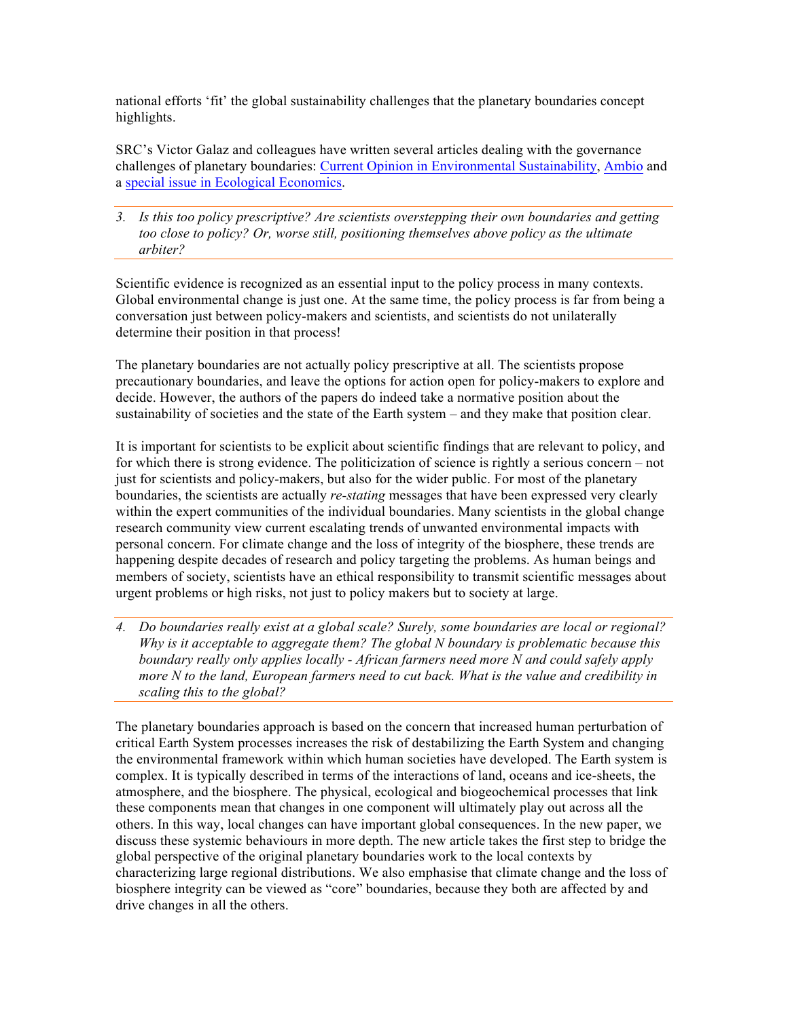national efforts 'fit' the global sustainability challenges that the planetary boundaries concept highlights.

SRC's Victor Galaz and colleagues have written several articles dealing with the governance challenges of planetary boundaries: Current Opinion in Environmental Sustainability, Ambio and a special issue in Ecological Economics.

*3. Is this too policy prescriptive? Are scientists overstepping their own boundaries and getting too close to policy? Or, worse still, positioning themselves above policy as the ultimate arbiter?*

Scientific evidence is recognized as an essential input to the policy process in many contexts. Global environmental change is just one. At the same time, the policy process is far from being a conversation just between policy-makers and scientists, and scientists do not unilaterally determine their position in that process!

The planetary boundaries are not actually policy prescriptive at all. The scientists propose precautionary boundaries, and leave the options for action open for policy-makers to explore and decide. However, the authors of the papers do indeed take a normative position about the sustainability of societies and the state of the Earth system – and they make that position clear.

It is important for scientists to be explicit about scientific findings that are relevant to policy, and for which there is strong evidence. The politicization of science is rightly a serious concern – not just for scientists and policy-makers, but also for the wider public. For most of the planetary boundaries, the scientists are actually *re-stating* messages that have been expressed very clearly within the expert communities of the individual boundaries. Many scientists in the global change research community view current escalating trends of unwanted environmental impacts with personal concern. For climate change and the loss of integrity of the biosphere, these trends are happening despite decades of research and policy targeting the problems. As human beings and members of society, scientists have an ethical responsibility to transmit scientific messages about urgent problems or high risks, not just to policy makers but to society at large.

*4. Do boundaries really exist at a global scale? Surely, some boundaries are local or regional? Why is it acceptable to aggregate them? The global N boundary is problematic because this boundary really only applies locally - African farmers need more N and could safely apply more N to the land, European farmers need to cut back. What is the value and credibility in scaling this to the global?*

The planetary boundaries approach is based on the concern that increased human perturbation of critical Earth System processes increases the risk of destabilizing the Earth System and changing the environmental framework within which human societies have developed. The Earth system is complex. It is typically described in terms of the interactions of land, oceans and ice-sheets, the atmosphere, and the biosphere. The physical, ecological and biogeochemical processes that link these components mean that changes in one component will ultimately play out across all the others. In this way, local changes can have important global consequences. In the new paper, we discuss these systemic behaviours in more depth. The new article takes the first step to bridge the global perspective of the original planetary boundaries work to the local contexts by characterizing large regional distributions. We also emphasise that climate change and the loss of biosphere integrity can be viewed as "core" boundaries, because they both are affected by and drive changes in all the others.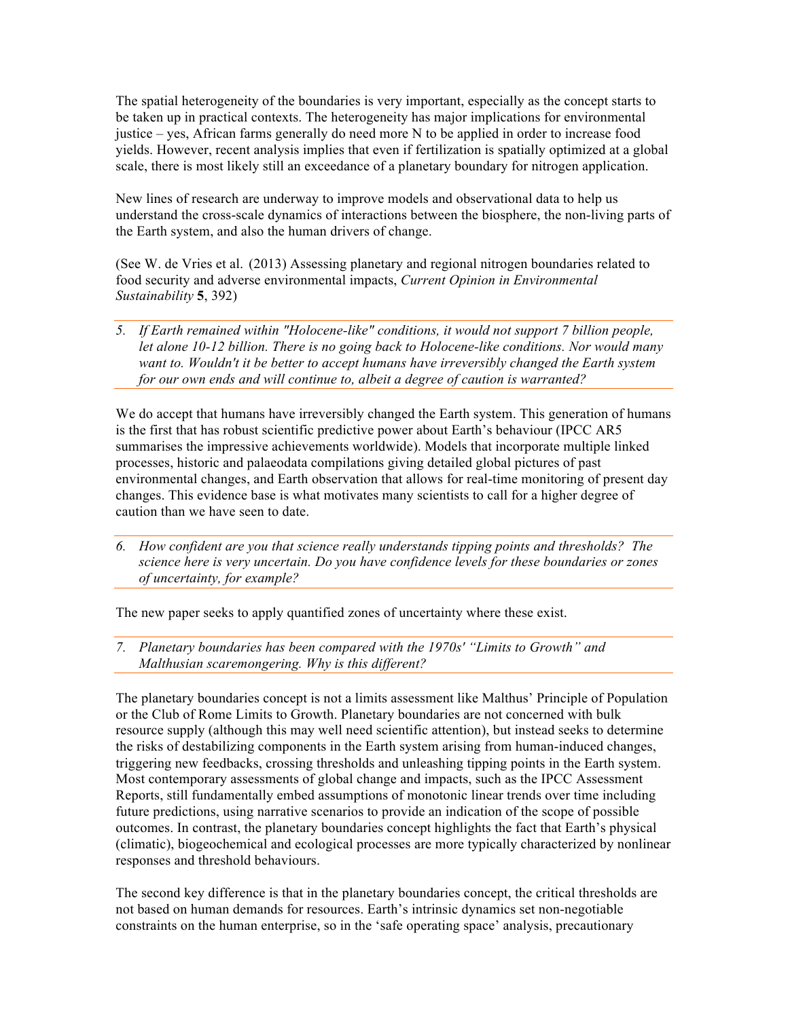The spatial heterogeneity of the boundaries is very important, especially as the concept starts to be taken up in practical contexts. The heterogeneity has major implications for environmental justice – yes, African farms generally do need more N to be applied in order to increase food yields. However, recent analysis implies that even if fertilization is spatially optimized at a global scale, there is most likely still an exceedance of a planetary boundary for nitrogen application.

New lines of research are underway to improve models and observational data to help us understand the cross-scale dynamics of interactions between the biosphere, the non-living parts of the Earth system, and also the human drivers of change.

(See W. de Vries et al. (2013) Assessing planetary and regional nitrogen boundaries related to food security and adverse environmental impacts, *Current Opinion in Environmental Sustainability* **5**, 392)

*5. If Earth remained within "Holocene-like" conditions, it would not support 7 billion people, let alone 10-12 billion. There is no going back to Holocene-like conditions. Nor would many want to. Wouldn't it be better to accept humans have irreversibly changed the Earth system for our own ends and will continue to, albeit a degree of caution is warranted?*

We do accept that humans have irreversibly changed the Earth system. This generation of humans is the first that has robust scientific predictive power about Earth's behaviour (IPCC AR5 summarises the impressive achievements worldwide). Models that incorporate multiple linked processes, historic and palaeodata compilations giving detailed global pictures of past environmental changes, and Earth observation that allows for real-time monitoring of present day changes. This evidence base is what motivates many scientists to call for a higher degree of caution than we have seen to date.

*6. How confident are you that science really understands tipping points and thresholds? The science here is very uncertain. Do you have confidence levels for these boundaries or zones of uncertainty, for example?*

The new paper seeks to apply quantified zones of uncertainty where these exist.

*7. Planetary boundaries has been compared with the 1970s' "Limits to Growth" and Malthusian scaremongering. Why is this different?*

The planetary boundaries concept is not a limits assessment like Malthus' Principle of Population or the Club of Rome Limits to Growth. Planetary boundaries are not concerned with bulk resource supply (although this may well need scientific attention), but instead seeks to determine the risks of destabilizing components in the Earth system arising from human-induced changes, triggering new feedbacks, crossing thresholds and unleashing tipping points in the Earth system. Most contemporary assessments of global change and impacts, such as the IPCC Assessment Reports, still fundamentally embed assumptions of monotonic linear trends over time including future predictions, using narrative scenarios to provide an indication of the scope of possible outcomes. In contrast, the planetary boundaries concept highlights the fact that Earth's physical (climatic), biogeochemical and ecological processes are more typically characterized by nonlinear responses and threshold behaviours.

The second key difference is that in the planetary boundaries concept, the critical thresholds are not based on human demands for resources. Earth's intrinsic dynamics set non-negotiable constraints on the human enterprise, so in the 'safe operating space' analysis, precautionary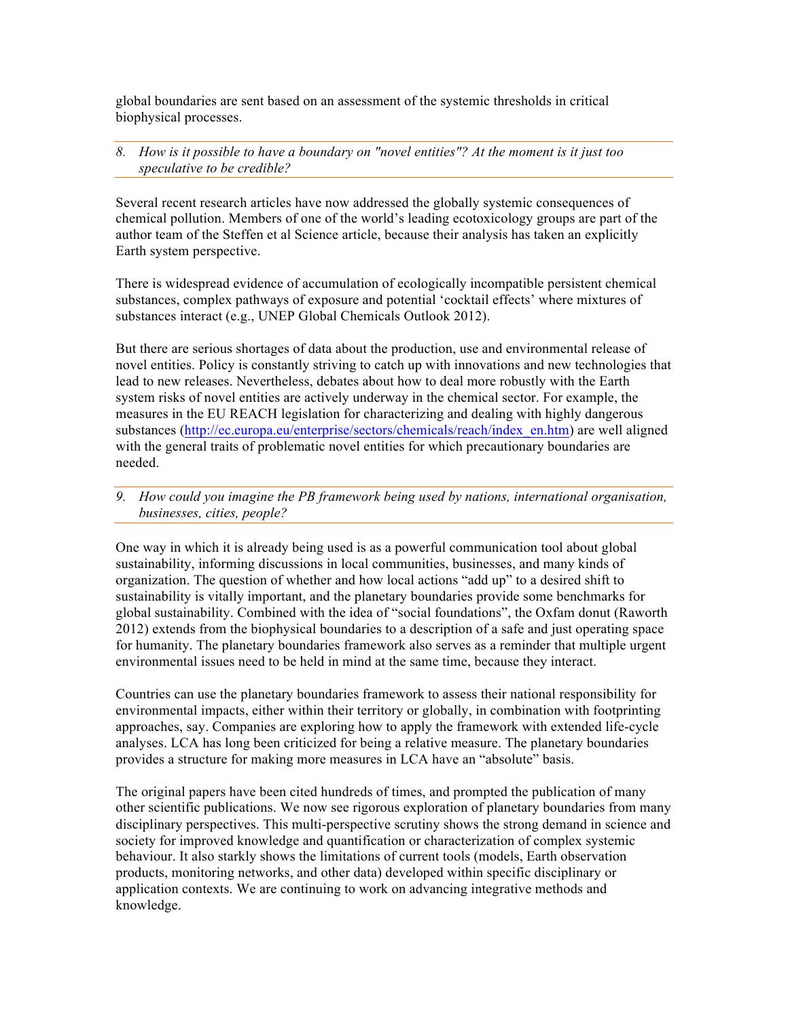global boundaries are sent based on an assessment of the systemic thresholds in critical biophysical processes.

## *8. How is it possible to have a boundary on "novel entities"? At the moment is it just too speculative to be credible?*

Several recent research articles have now addressed the globally systemic consequences of chemical pollution. Members of one of the world's leading ecotoxicology groups are part of the author team of the Steffen et al Science article, because their analysis has taken an explicitly Earth system perspective.

There is widespread evidence of accumulation of ecologically incompatible persistent chemical substances, complex pathways of exposure and potential 'cocktail effects' where mixtures of substances interact (e.g., UNEP Global Chemicals Outlook 2012).

But there are serious shortages of data about the production, use and environmental release of novel entities. Policy is constantly striving to catch up with innovations and new technologies that lead to new releases. Nevertheless, debates about how to deal more robustly with the Earth system risks of novel entities are actively underway in the chemical sector. For example, the measures in the EU REACH legislation for characterizing and dealing with highly dangerous substances (http://ec.europa.eu/enterprise/sectors/chemicals/reach/index\_en.htm) are well aligned with the general traits of problematic novel entities for which precautionary boundaries are needed.

*9. How could you imagine the PB framework being used by nations, international organisation, businesses, cities, people?*

One way in which it is already being used is as a powerful communication tool about global sustainability, informing discussions in local communities, businesses, and many kinds of organization. The question of whether and how local actions "add up" to a desired shift to sustainability is vitally important, and the planetary boundaries provide some benchmarks for global sustainability. Combined with the idea of "social foundations", the Oxfam donut (Raworth 2012) extends from the biophysical boundaries to a description of a safe and just operating space for humanity. The planetary boundaries framework also serves as a reminder that multiple urgent environmental issues need to be held in mind at the same time, because they interact.

Countries can use the planetary boundaries framework to assess their national responsibility for environmental impacts, either within their territory or globally, in combination with footprinting approaches, say. Companies are exploring how to apply the framework with extended life-cycle analyses. LCA has long been criticized for being a relative measure. The planetary boundaries provides a structure for making more measures in LCA have an "absolute" basis.

The original papers have been cited hundreds of times, and prompted the publication of many other scientific publications. We now see rigorous exploration of planetary boundaries from many disciplinary perspectives. This multi-perspective scrutiny shows the strong demand in science and society for improved knowledge and quantification or characterization of complex systemic behaviour. It also starkly shows the limitations of current tools (models, Earth observation products, monitoring networks, and other data) developed within specific disciplinary or application contexts. We are continuing to work on advancing integrative methods and knowledge.